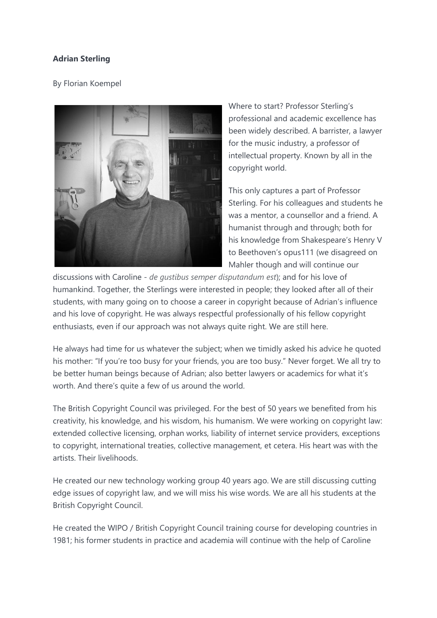## **Adrian Sterling**

## By Florian Koempel



Where to start? Professor Sterling's professional and academic excellence has been widely described. A barrister, a lawyer for the music industry, a professor of intellectual property. Known by all in the copyright world.

This only captures a part of Professor Sterling. For his colleagues and students he was a mentor, a counsellor and a friend. A humanist through and through; both for his knowledge from Shakespeare's Henry V to Beethoven's opus111 (we disagreed on Mahler though and will continue our

discussions with Caroline - *de gustibus semper disputandum est*); and for his love of humankind. Together, the Sterlings were interested in people; they looked after all of their students, with many going on to choose a career in copyright because of Adrian's influence and his love of copyright. He was always respectful professionally of his fellow copyright enthusiasts, even if our approach was not always quite right. We are still here.

He always had time for us whatever the subject; when we timidly asked his advice he quoted his mother: "If you're too busy for your friends, you are too busy." Never forget. We all try to be better human beings because of Adrian; also better lawyers or academics for what it's worth. And there's quite a few of us around the world.

The British Copyright Council was privileged. For the best of 50 years we benefited from his creativity, his knowledge, and his wisdom, his humanism. We were working on copyright law: extended collective licensing, orphan works, liability of internet service providers, exceptions to copyright, international treaties, collective management, et cetera. His heart was with the artists. Their livelihoods.

He created our new technology working group 40 years ago. We are still discussing cutting edge issues of copyright law, and we will miss his wise words. We are all his students at the British Copyright Council.

He created the WIPO / British Copyright Council training course for developing countries in 1981; his former students in practice and academia will continue with the help of Caroline